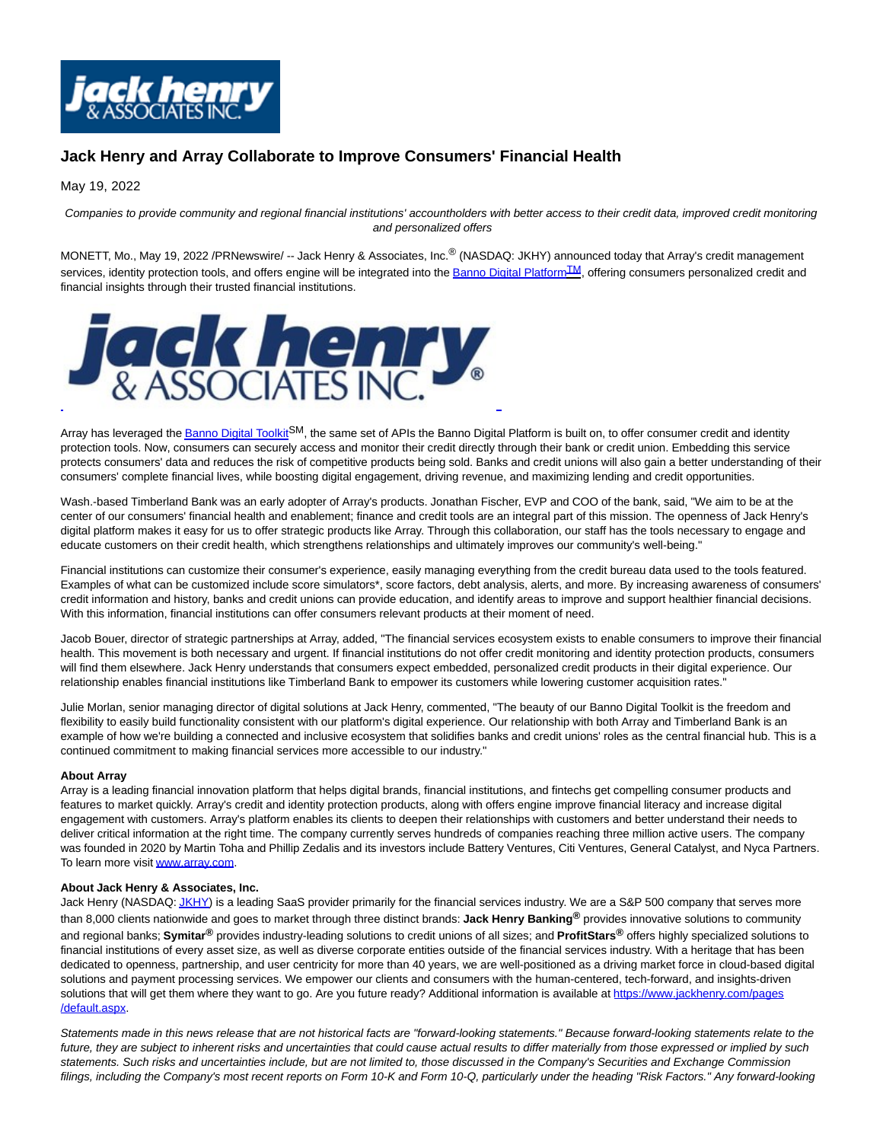

## **Jack Henry and Array Collaborate to Improve Consumers' Financial Health**

May 19, 2022

Companies to provide community and regional financial institutions' accountholders with better access to their credit data, improved credit monitoring and personalized offers

MONETT, Mo., May 19, 2022 /PRNewswire/ -- Jack Henry & Associates, Inc.® (NASDAQ: JKHY) announced today that Array's credit management services, identity protection tools, and offers engine will be integrated into the **Banno Digital Platform<sup>[TM](https://c212.net/c/link/?t=0&l=en&o=3541329-1&h=2380631639&u=https%3A%2F%2Fc212.net%2Fc%2Flink%2F%3Ft%3D0%26l%3Den%26o%3D3241277-1%26h%3D4070605809%26u%3Dhttps%253A%252F%252Fdiscover.jackhenry.com%252Fdigital%252F%26a%3DBanno%2BDigital%2BPlatformTM&a=TM)</sup>**, offering consumers personalized credit and financial insights through their trusted financial institutions.



Array has leveraged th[e Banno Digital Toolkit](https://c212.net/c/link/?t=0&l=en&o=3541329-1&h=713953132&u=https%3A%2F%2Fc212.net%2Fc%2Flink%2F%3Ft%3D0%26l%3Den%26o%3D3319527-1%26h%3D207101900%26u%3Dhttps%253A%252F%252Fbanno.com%252Fdigital-toolkit%252F%26a%3DBanno%2BDigital%2BToolkit&a=Banno+Digital+Toolkit)<sup>SM</sup>, the same set of APIs the Banno Digital Platform is built on, to offer consumer credit and identity protection tools. Now, consumers can securely access and monitor their credit directly through their bank or credit union. Embedding this service protects consumers' data and reduces the risk of competitive products being sold. Banks and credit unions will also gain a better understanding of their consumers' complete financial lives, while boosting digital engagement, driving revenue, and maximizing lending and credit opportunities.

Wash.-based Timberland Bank was an early adopter of Array's products. Jonathan Fischer, EVP and COO of the bank, said, "We aim to be at the center of our consumers' financial health and enablement; finance and credit tools are an integral part of this mission. The openness of Jack Henry's digital platform makes it easy for us to offer strategic products like Array. Through this collaboration, our staff has the tools necessary to engage and educate customers on their credit health, which strengthens relationships and ultimately improves our community's well-being."

Financial institutions can customize their consumer's experience, easily managing everything from the credit bureau data used to the tools featured. Examples of what can be customized include score simulators\*, score factors, debt analysis, alerts, and more. By increasing awareness of consumers' credit information and history, banks and credit unions can provide education, and identify areas to improve and support healthier financial decisions. With this information, financial institutions can offer consumers relevant products at their moment of need.

Jacob Bouer, director of strategic partnerships at Array, added, "The financial services ecosystem exists to enable consumers to improve their financial health. This movement is both necessary and urgent. If financial institutions do not offer credit monitoring and identity protection products, consumers will find them elsewhere. Jack Henry understands that consumers expect embedded, personalized credit products in their digital experience. Our relationship enables financial institutions like Timberland Bank to empower its customers while lowering customer acquisition rates."

Julie Morlan, senior managing director of digital solutions at Jack Henry, commented, "The beauty of our Banno Digital Toolkit is the freedom and flexibility to easily build functionality consistent with our platform's digital experience. Our relationship with both Array and Timberland Bank is an example of how we're building a connected and inclusive ecosystem that solidifies banks and credit unions' roles as the central financial hub. This is a continued commitment to making financial services more accessible to our industry."

## **About Array**

Array is a leading financial innovation platform that helps digital brands, financial institutions, and fintechs get compelling consumer products and features to market quickly. Array's credit and identity protection products, along with offers engine improve financial literacy and increase digital engagement with customers. Array's platform enables its clients to deepen their relationships with customers and better understand their needs to deliver critical information at the right time. The company currently serves hundreds of companies reaching three million active users. The company was founded in 2020 by Martin Toha and Phillip Zedalis and its investors include Battery Ventures, Citi Ventures, General Catalyst, and Nyca Partners. To learn more visi[t www.array.com.](https://c212.net/c/link/?t=0&l=en&o=3541329-1&h=281207880&u=http%3A%2F%2Fwww.array.com%2F&a=www.array.com)

## **About Jack Henry & Associates, Inc.**

Jack Henry (NASDAQ[: JKHY\)](https://c212.net/c/link/?t=0&l=en&o=3541329-1&h=173006111&u=https%3A%2F%2Fwww.nasdaq.com%2Fmarket-activity%2Fstocks%2Fjkhy&a=JKHY) is a leading SaaS provider primarily for the financial services industry. We are a S&P 500 company that serves more than 8,000 clients nationwide and goes to market through three distinct brands: **Jack Henry Banking®** provides innovative solutions to community and regional banks; **Symitar®** provides industry-leading solutions to credit unions of all sizes; and **ProfitStars®** offers highly specialized solutions to financial institutions of every asset size, as well as diverse corporate entities outside of the financial services industry. With a heritage that has been dedicated to openness, partnership, and user centricity for more than 40 years, we are well-positioned as a driving market force in cloud-based digital solutions and payment processing services. We empower our clients and consumers with the human-centered, tech-forward, and insights-driven solutions that will get them where they want to go. Are you future ready? Additional information is available at [https://www.jackhenry.com/pages](https://c212.net/c/link/?t=0&l=en&o=3541329-1&h=381457805&u=https%3A%2F%2Fwww.jackhenry.com%2Fpages%2Fdefault.aspx&a=https%3A%2F%2Fwww.jackhenry.com%2Fpages%2Fdefault.aspx) /default.aspx.

Statements made in this news release that are not historical facts are "forward-looking statements." Because forward-looking statements relate to the future, they are subject to inherent risks and uncertainties that could cause actual results to differ materially from those expressed or implied by such statements. Such risks and uncertainties include, but are not limited to, those discussed in the Company's Securities and Exchange Commission filings, including the Company's most recent reports on Form 10-K and Form 10-Q, particularly under the heading "Risk Factors." Any forward-looking